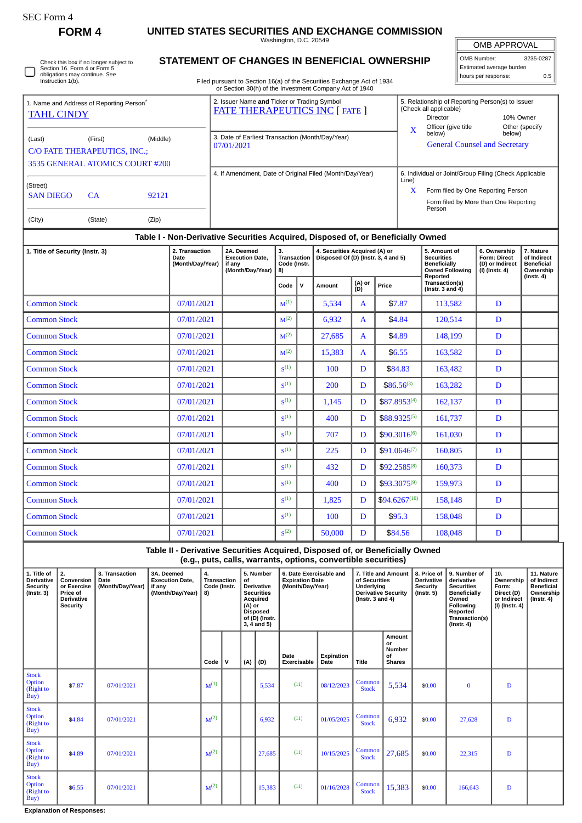O

Check this box if no longer subject to Section 16. Form 4 or Form 5 obligations may continue. *See* Instruction 1(b).

**FORM 4 UNITED STATES SECURITIES AND EXCHANGE COMMISSION**

Washington, D.C. 20549 **STATEMENT OF CHANGES IN BENEFICIAL OWNERSHIP**

OMB APPROVAL OMB Number: 3235-0287 Estimated average burden hours per response: 0.5

| Filed pursuant to Section 16(a) of the Securities Exchange Act of 1934 |
|------------------------------------------------------------------------|
| or Section 30(h) of the Investment Company Act of 1940                 |

| 1. Name and Address of Reporting Person <sup>®</sup>                             |           |          |                 | 2. Issuer Name and Ticker or Trading Symbol                    |        | <b>FATE THERAPEUTICS INC [ FATE ]</b>                    | 5. Relationship of Reporting Person(s) to Issuer<br>(Check all applicable) |                                                                                       |                     |                |  |  |
|----------------------------------------------------------------------------------|-----------|----------|-----------------|----------------------------------------------------------------|--------|----------------------------------------------------------|----------------------------------------------------------------------------|---------------------------------------------------------------------------------------|---------------------|----------------|--|--|
| <b>TAHL CINDY</b><br>(Last)<br>C/O FATE THERAPEUTICS, INC.:                      | (First)   | (Middle) |                 | 3. Date of Earliest Transaction (Month/Day/Year)<br>07/01/2021 |        |                                                          | X                                                                          | Director<br>Officer (give title<br>below)<br><b>General Counsel and Secretary</b>     | 10% Owner<br>below) | Other (specify |  |  |
| 3535 GENERAL ATOMICS COURT #200                                                  |           |          |                 |                                                                |        | 4. If Amendment, Date of Original Filed (Month/Day/Year) | Line)                                                                      | 6. Individual or Joint/Group Filing (Check Applicable                                 |                     |                |  |  |
| (Street)<br><b>SAN DIEGO</b>                                                     | <b>CA</b> | 92121    |                 |                                                                |        |                                                          | X                                                                          | Form filed by One Reporting Person<br>Form filed by More than One Reporting<br>Person |                     |                |  |  |
| (City)                                                                           | (State)   | (Zip)    |                 |                                                                |        |                                                          |                                                                            |                                                                                       |                     |                |  |  |
| Table I - Non-Derivative Securities Acquired, Disposed of, or Beneficially Owned |           |          |                 |                                                                |        |                                                          |                                                                            |                                                                                       |                     |                |  |  |
|                                                                                  |           |          | 0. Transporting | <b>OA Desmand</b>                                              | $\sim$ | A. Consideration Annual CAN on                           |                                                                            | $F = 0$ and $F = 0$                                                                   | C. Outstanding      | 7.8144         |  |  |

| 1. Title of Security (Instr. 3) | 2. Transaction<br>Date<br>(Month/Day/Year) | 2A. Deemed<br><b>Execution Date.</b><br>if any<br>(Month/Day/Year) | З.<br><b>Transaction</b><br>Code (Instr.<br>8) |              | 4. Securities Acquired (A) or<br>Disposed Of (D) (Instr. 3, 4 and 5) |               |                   | 5. Amount of<br><b>Securities</b><br><b>Beneficially</b><br><b>Owned Following</b><br>Reported | 6. Ownership<br>Form: Direct<br>(D) or Indirect<br>$(I)$ (Instr. 4) | 7. Nature<br>of Indirect<br><b>Beneficial</b><br>Ownership<br>$($ Instr. 4 $)$ |
|---------------------------------|--------------------------------------------|--------------------------------------------------------------------|------------------------------------------------|--------------|----------------------------------------------------------------------|---------------|-------------------|------------------------------------------------------------------------------------------------|---------------------------------------------------------------------|--------------------------------------------------------------------------------|
|                                 |                                            |                                                                    | Code                                           | $\mathsf{v}$ | Amount                                                               | (A) or<br>(D) | Price             | Transaction(s)<br>$($ lnstr. 3 and 4 $)$                                                       |                                                                     |                                                                                |
| <b>Common Stock</b>             | 07/01/2021                                 |                                                                    | $M^{(1)}$                                      |              | 5,534                                                                | A             | \$7.87            | 113,582                                                                                        | D                                                                   |                                                                                |
| <b>Common Stock</b>             | 07/01/2021                                 |                                                                    | M <sup>(2)</sup>                               |              | 6,932                                                                | A             | \$4.84            | 120,514                                                                                        | D                                                                   |                                                                                |
| <b>Common Stock</b>             | 07/01/2021                                 |                                                                    | M <sup>(2)</sup>                               |              | 27,685                                                               | $\mathbf{A}$  | \$4.89            | 148,199                                                                                        | D                                                                   |                                                                                |
| <b>Common Stock</b>             | 07/01/2021                                 |                                                                    | M <sup>(2)</sup>                               |              | 15,383                                                               | $\mathbf{A}$  | \$6.55            | 163,582                                                                                        | D                                                                   |                                                                                |
| <b>Common Stock</b>             | 07/01/2021                                 |                                                                    | $\zeta^{(1)}$                                  |              | 100                                                                  | D             | \$84.83           | 163,482                                                                                        | D                                                                   |                                                                                |
| <b>Common Stock</b>             | 07/01/2021                                 |                                                                    | $\zeta^{(1)}$                                  |              | 200                                                                  | D             | $$86.56^{(3)}$$   | 163,282                                                                                        | D                                                                   |                                                                                |
| <b>Common Stock</b>             | 07/01/2021                                 |                                                                    | $\zeta^{(1)}$                                  |              | 1,145                                                                | D             | $$87.8953^{(4)}$  | 162,137                                                                                        | D                                                                   |                                                                                |
| <b>Common Stock</b>             | 07/01/2021                                 |                                                                    | $\zeta^{(1)}$                                  |              | 400                                                                  | D             | $$88.9325^{(5)}$  | 161,737                                                                                        | D                                                                   |                                                                                |
| <b>Common Stock</b>             | 07/01/2021                                 |                                                                    | $\zeta(1)$                                     |              | 707                                                                  | D             | \$90.3016(6)      | 161,030                                                                                        | D                                                                   |                                                                                |
| <b>Common Stock</b>             | 07/01/2021                                 |                                                                    | $\zeta^{(1)}$                                  |              | 225                                                                  | D             | $$91.0646^{(7)}$  | 160,805                                                                                        | D                                                                   |                                                                                |
| <b>Common Stock</b>             | 07/01/2021                                 |                                                                    | $\zeta^{(1)}$                                  |              | 432                                                                  | D             | $$92.2585^{(8)}$$ | 160,373                                                                                        | D                                                                   |                                                                                |
| <b>Common Stock</b>             | 07/01/2021                                 |                                                                    | S <sup>(1)</sup>                               |              | 400                                                                  | D             | $$93.3075^{(9)}$  | 159,973                                                                                        | D                                                                   |                                                                                |
| <b>Common Stock</b>             | 07/01/2021                                 |                                                                    | $\zeta^{(1)}$                                  |              | 1,825                                                                | D             | $$94.6267^{(10)}$ | 158,148                                                                                        | D                                                                   |                                                                                |
| <b>Common Stock</b>             | 07/01/2021                                 |                                                                    | $\zeta^{(1)}$                                  |              | 100                                                                  | D             | \$95.3            | 158,048                                                                                        | D                                                                   |                                                                                |
| <b>Common Stock</b>             | 07/01/2021                                 |                                                                    | S <sup>(2)</sup>                               |              | 50,000                                                               | D             | \$84.56           | 108,048                                                                                        | D                                                                   |                                                                                |

**Table II - Derivative Securities Acquired, Disposed of, or Beneficially Owned (e.g., puts, calls, warrants, options, convertible securities)**

| 1. Title of<br><b>Derivative</b><br><b>Security</b><br>$($ Instr. 3 $)$ | 2.<br>Conversion<br>or Exercise<br>Price of<br><b>Derivative</b><br><b>Security</b> | 3. Transaction<br>Date<br>(Month/Day/Year) | 3A. Deemed<br><b>Execution Date.</b><br>if any<br>(Month/Day/Year) | 4.<br>Transaction<br>Code (Instr.<br>8) |   | of<br>(A) or | 5. Number<br><b>Derivative</b><br><b>Securities</b><br>Acquired<br><b>Disposed</b><br>of (D) (Instr.<br>$3, 4$ and $5)$ | 6. Date Exercisable and<br><b>Expiration Date</b><br>(Month/Day/Year) |                    | 7. Title and Amount<br>of Securities<br>Underlying<br><b>Derivative Security</b><br>( $lnstr. 3 and 4$ ) |                                                      | 8. Price of<br><b>Derivative</b><br>Security<br>$($ Instr. 5 $)$ | 9. Number of<br>derivative<br><b>Securities</b><br><b>Beneficially</b><br>Owned<br>Following<br>Reported<br>Transaction(s)<br>$($ Instr. 4 $)$ | 10.<br>Ownership<br>Form:<br>Direct (D)<br>or Indirect<br>(I) (Instr. 4) | 11. Nature<br>of Indirect<br><b>Beneficial</b><br>Ownership<br>$($ Instr. 4 $)$ |
|-------------------------------------------------------------------------|-------------------------------------------------------------------------------------|--------------------------------------------|--------------------------------------------------------------------|-----------------------------------------|---|--------------|-------------------------------------------------------------------------------------------------------------------------|-----------------------------------------------------------------------|--------------------|----------------------------------------------------------------------------------------------------------|------------------------------------------------------|------------------------------------------------------------------|------------------------------------------------------------------------------------------------------------------------------------------------|--------------------------------------------------------------------------|---------------------------------------------------------------------------------|
|                                                                         |                                                                                     |                                            |                                                                    | Code                                    | v | (A)          | (D)                                                                                                                     | Date<br>Exercisable                                                   | Expiration<br>Date | Title                                                                                                    | Amount<br>or<br><b>Number</b><br>of<br><b>Shares</b> |                                                                  |                                                                                                                                                |                                                                          |                                                                                 |
| <b>Stock</b><br>Option<br>(Right to<br>Buy)                             | \$7.87                                                                              | 07/01/2021                                 |                                                                    | $M^{(1)}$                               |   |              | 5,534                                                                                                                   | (11)                                                                  | 08/12/2023         | Common<br><b>Stock</b>                                                                                   | 5,534                                                | \$0.00                                                           | $\Omega$                                                                                                                                       | D                                                                        |                                                                                 |
| <b>Stock</b><br>Option<br>(Right to<br>Buy)                             | \$4.84                                                                              | 07/01/2021                                 |                                                                    | $M^{(2)}$                               |   |              | 6,932                                                                                                                   | (11)                                                                  | 01/05/2025         | Common<br><b>Stock</b>                                                                                   | 6,932                                                | \$0.00                                                           | 27,628                                                                                                                                         | D                                                                        |                                                                                 |
| <b>Stock</b><br><b>Option</b><br>(Right to<br>Buy)                      | \$4.89                                                                              | 07/01/2021                                 |                                                                    | $M^{(2)}$                               |   |              | 27,685                                                                                                                  | (11)                                                                  | 10/15/2025         | Common<br><b>Stock</b>                                                                                   | 27,685                                               | \$0.00                                                           | 22,315                                                                                                                                         | D                                                                        |                                                                                 |
| <b>Stock</b><br>Option<br>(Right to<br>Buy)                             | \$6.55                                                                              | 07/01/2021                                 |                                                                    | $M^{(2)}$                               |   |              | 15,383                                                                                                                  | (11)                                                                  | 01/16/2028         | Common<br><b>Stock</b>                                                                                   | 15,383                                               | \$0.00                                                           | 166,643                                                                                                                                        | D                                                                        |                                                                                 |

**Explanation of Responses:**